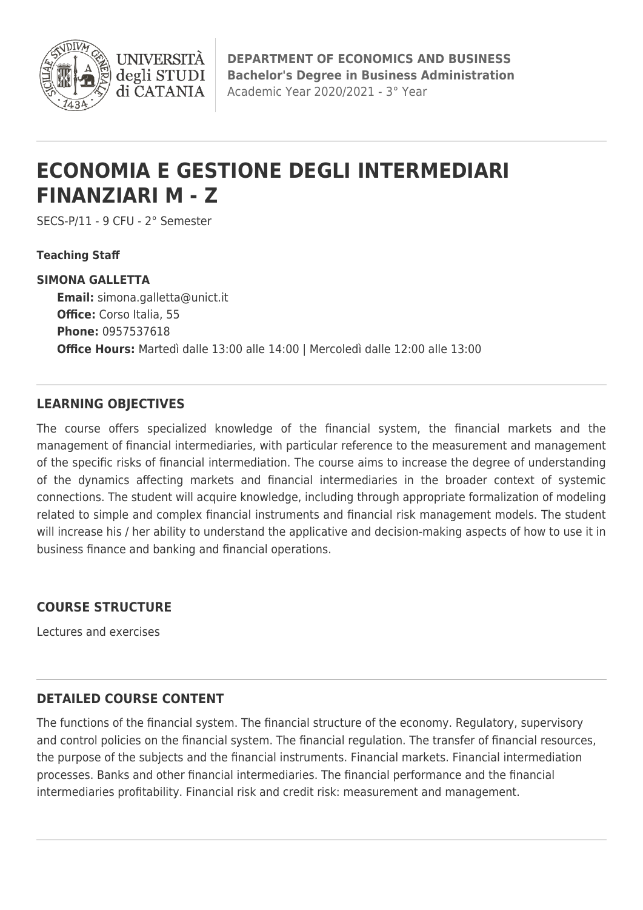

**DEPARTMENT OF ECONOMICS AND BUSINESS Bachelor's Degree in Business Administration** Academic Year 2020/2021 - 3° Year

# **ECONOMIA E GESTIONE DEGLI INTERMEDIARI FINANZIARI M - Z**

SECS-P/11 - 9 CFU - 2° Semester

**I INIVERSIT** degli STUDI di CATANIA

**Teaching Staff**

#### **SIMONA GALLETTA**

**Email:** [simona.galletta@unict.it](mailto:simona.galletta@unict.it) **Office:** Corso Italia, 55 **Phone:** 0957537618 **Office Hours:** Martedì dalle 13:00 alle 14:00 | Mercoledì dalle 12:00 alle 13:00

#### **LEARNING OBJECTIVES**

The course offers specialized knowledge of the financial system, the financial markets and the management of financial intermediaries, with particular reference to the measurement and management of the specific risks of financial intermediation. The course aims to increase the degree of understanding of the dynamics affecting markets and financial intermediaries in the broader context of systemic connections. The student will acquire knowledge, including through appropriate formalization of modeling related to simple and complex financial instruments and financial risk management models. The student will increase his / her ability to understand the applicative and decision-making aspects of how to use it in business finance and banking and financial operations.

## **COURSE STRUCTURE**

Lectures and exercises

## **DETAILED COURSE CONTENT**

The functions of the financial system. The financial structure of the economy. Regulatory, supervisory and control policies on the financial system. The financial regulation. The transfer of financial resources, the purpose of the subjects and the financial instruments. Financial markets. Financial intermediation processes. Banks and other financial intermediaries. The financial performance and the financial intermediaries profitability. Financial risk and credit risk: measurement and management.